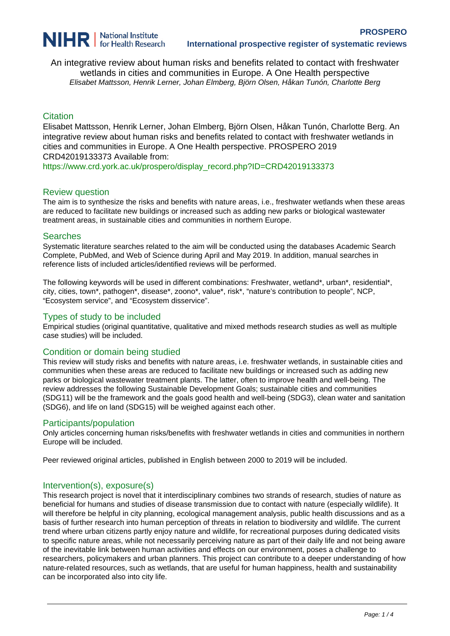

An integrative review about human risks and benefits related to contact with freshwater wetlands in cities and communities in Europe. A One Health perspective Elisabet Mattsson, Henrik Lerner, Johan Elmberg, Björn Olsen, Håkan Tunón, Charlotte Berg

## **Citation**

Elisabet Mattsson, Henrik Lerner, Johan Elmberg, Björn Olsen, Håkan Tunón, Charlotte Berg. An integrative review about human risks and benefits related to contact with freshwater wetlands in cities and communities in Europe. A One Health perspective. PROSPERO 2019 CRD42019133373 Available from:

[https://www.crd.york.ac.uk/prospero/display\\_record.php?ID=CRD42019133373](https://www.crd.york.ac.uk/prospero/display_record.php?ID=CRD42019133373)

### Review question

The aim is to synthesize the risks and benefits with nature areas, i.e., freshwater wetlands when these areas are reduced to facilitate new buildings or increased such as adding new parks or biological wastewater treatment areas, in sustainable cities and communities in northern Europe.

#### **Searches**

Systematic literature searches related to the aim will be conducted using the databases Academic Search Complete, PubMed, and Web of Science during April and May 2019. In addition, manual searches in reference lists of included articles/identified reviews will be performed.

The following keywords will be used in different combinations: Freshwater, wetland\*, urban\*, residential\*, city, cities, town\*, pathogen\*, disease\*, zoono\*, value\*, risk\*, "nature's contribution to people", NCP, "Ecosystem service", and "Ecosystem disservice".

### Types of study to be included

Empirical studies (original quantitative, qualitative and mixed methods research studies as well as multiple case studies) will be included.

## Condition or domain being studied

This review will study risks and benefits with nature areas, i.e. freshwater wetlands, in sustainable cities and communities when these areas are reduced to facilitate new buildings or increased such as adding new parks or biological wastewater treatment plants. The latter, often to improve health and well-being. The review addresses the following Sustainable Development Goals; sustainable cities and communities (SDG11) will be the framework and the goals good health and well-being (SDG3), clean water and sanitation (SDG6), and life on land (SDG15) will be weighed against each other.

#### Participants/population

Only articles concerning human risks/benefits with freshwater wetlands in cities and communities in northern Europe will be included.

Peer reviewed original articles, published in English between 2000 to 2019 will be included.

## Intervention(s), exposure(s)

This research project is novel that it interdisciplinary combines two strands of research, studies of nature as beneficial for humans and studies of disease transmission due to contact with nature (especially wildlife). It will therefore be helpful in city planning, ecological management analysis, public health discussions and as a basis of further research into human perception of threats in relation to biodiversity and wildlife. The current trend where urban citizens partly enjoy nature and wildlife, for recreational purposes during dedicated visits to specific nature areas, while not necessarily perceiving nature as part of their daily life and not being aware of the inevitable link between human activities and effects on our environment, poses a challenge to researchers, policymakers and urban planners. This project can contribute to a deeper understanding of how nature-related resources, such as wetlands, that are useful for human happiness, health and sustainability can be incorporated also into city life.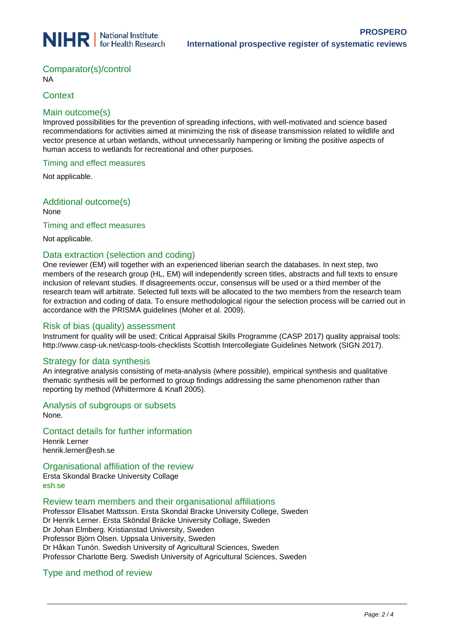

# Comparator(s)/control

NA

## **Context**

## Main outcome(s)

Improved possibilities for the prevention of spreading infections, with well-motivated and science based recommendations for activities aimed at minimizing the risk of disease transmission related to wildlife and vector presence at urban wetlands, without unnecessarily hampering or limiting the positive aspects of human access to wetlands for recreational and other purposes.

### Timing and effect measures

Not applicable.

Additional outcome(s) None

### Timing and effect measures

Not applicable.

## Data extraction (selection and coding)

One reviewer (EM) will together with an experienced liberian search the databases. In next step, two members of the research group (HL, EM) will independently screen titles, abstracts and full texts to ensure inclusion of relevant studies. If disagreements occur, consensus will be used or a third member of the research team will arbitrate. Selected full texts will be allocated to the two members from the research team for extraction and coding of data. To ensure methodological rigour the selection process will be carried out in accordance with the PRISMA guidelines (Moher et al. 2009).

## Risk of bias (quality) assessment

Instrument for quality will be used; Critical Appraisal Skills Programme (CASP 2017) quality appraisal tools: http://www.casp-uk.net/casp-tools-checklists Scottish Intercollegiate Guidelines Network (SIGN 2017).

## Strategy for data synthesis

An integrative analysis consisting of meta-analysis (where possible), empirical synthesis and qualitative thematic synthesis will be performed to group findings addressing the same phenomenon rather than reporting by method (Whittermore & Knafl 2005).

## Analysis of subgroups or subsets

None.

## Contact details for further information

Henrik Lerner henrik.lerner@esh.se

## Organisational affiliation of the review

Ersta Skondal Bracke University Collage esh.se

#### Review team members and their organisational affiliations

Professor Elisabet Mattsson. Ersta Skondal Bracke University College, Sweden Dr Henrik Lerner. Ersta Sköndal Bräcke University Collage, Sweden Dr Johan Elmberg. Kristianstad University, Sweden Professor Björn Olsen. Uppsala University, Sweden Dr Håkan Tunón. Swedish University of Agricultural Sciences, Sweden Professor Charlotte Berg. Swedish University of Agricultural Sciences, Sweden

## Type and method of review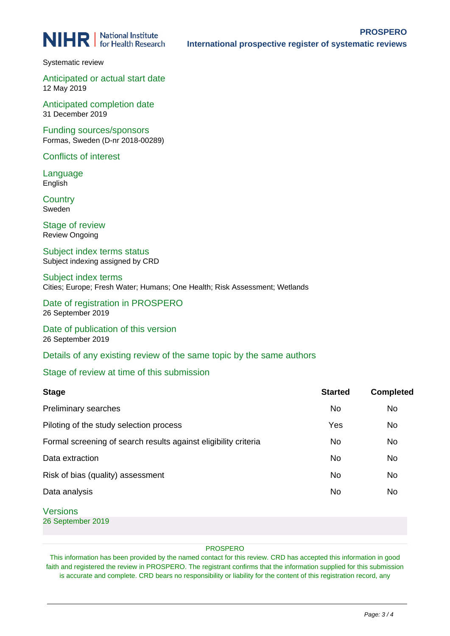**NIHR** | National Institute

Systematic review

Anticipated or actual start date 12 May 2019

Anticipated completion date 31 December 2019

Funding sources/sponsors Formas, Sweden (D-nr 2018-00289)

Conflicts of interest

Language English

**Country** Sweden

Stage of review Review Ongoing

Subject index terms status Subject indexing assigned by CRD

Subject index terms Cities; Europe; Fresh Water; Humans; One Health; Risk Assessment; Wetlands

Date of registration in PROSPERO 26 September 2019

Date of publication of this version 26 September 2019

Details of any existing review of the same topic by the same authors

## Stage of review at time of this submission

| <b>Stage</b>                                                    | <b>Started</b> | <b>Completed</b> |
|-----------------------------------------------------------------|----------------|------------------|
| Preliminary searches                                            | <b>No</b>      | No               |
| Piloting of the study selection process                         | Yes            | <b>No</b>        |
| Formal screening of search results against eligibility criteria | <b>No</b>      | <b>No</b>        |
| Data extraction                                                 | <b>No</b>      | <b>No</b>        |
| Risk of bias (quality) assessment                               | No             | <b>No</b>        |
| Data analysis                                                   | No             | No               |
| <b>Versions</b>                                                 |                |                  |

26 September 2019

#### PROSPERO

This information has been provided by the named contact for this review. CRD has accepted this information in good faith and registered the review in PROSPERO. The registrant confirms that the information supplied for this submission is accurate and complete. CRD bears no responsibility or liability for the content of this registration record, any